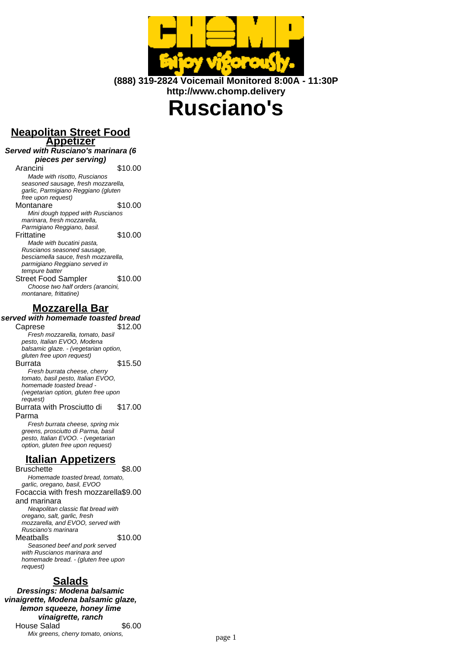

**(888) 319-2824 Voicemail Monitored 8:00A - 11:30P http://www.chomp.delivery**

# **Rusciano's**

#### **Neapolitan Street Food Appetizer**

# **Served with Rusciano's marinara (6**

**pieces per serving)** Arancini \$10.00 Made with risotto, Ruscianos seasoned sausage, fresh mozzarella, garlic, Parmigiano Reggiano (gluten free upon request) Montanare \$10.00 Mini dough topped with Ruscianos marinara, fresh mozzarella, Parmigiano Reggiano, basil. Frittatine \$10.00 Made with bucatini pasta, Ruscianos seasoned sausage, besciamella sauce, fresh mozzarella, parmigiano Reggiano served in tempure batter Street Food Sampler \$10.00 Choose two half orders (arancini, montanare, frittatine)

### **Mozzarella Bar**

#### **served with homemade toasted bread**

Caprese \$12.00 Fresh mozzarella, tomato, basil pesto, Italian EVOO, Modena balsamic glaze. - (vegetarian option, gluten free upon request) Burrata \$15.50 Fresh burrata cheese, cherry tomato, basil pesto, Italian EVOO, homemade toasted bread - (vegetarian option, gluten free upon request) Burrata with Prosciutto di Parma \$17.00 Fresh burrata cheese, spring mix greens, prosciutto di Parma, basil

pesto, Italian EVOO. - (vegetarian option, gluten free upon request)

## **Italian Appetizers**

Bruschette \$8.00 Homemade toasted bread, tomato, garlic, oregano, basil, EVOO Focaccia with fresh mozzarella \$9.00 and marinara Neapolitan classic flat bread with oregano, salt, garlic, fresh mozzarella, and EVOO, served with Rusciano's marinara Meatballs \$10.00 Seasoned beef and pork served with Ruscianos marinara and homemade bread. - (gluten free upon request)

# **Salads**

**Dressings: Modena balsamic vinaigrette, Modena balsamic glaze, lemon squeeze, honey lime vinaigrette, ranch** House Salad \$6.00 Mix greens, cherry tomato, onions, page 1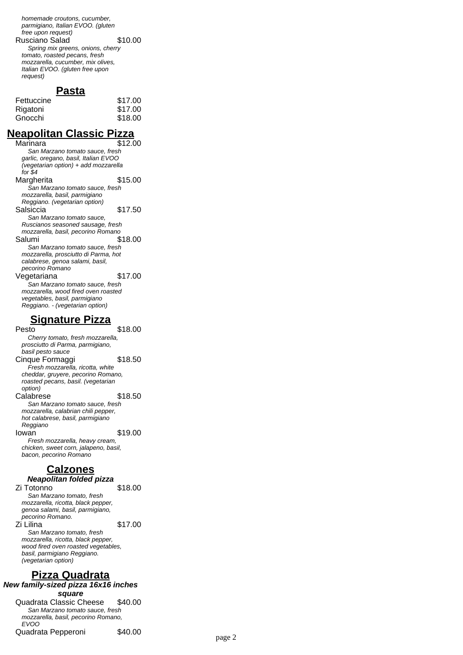homemade croutons, cucumber, parmigiano, Italian EVOO. (gluten free upon request) Rusciano Salad \$10.00 Spring mix greens, onions, cherry tomato, roasted pecans, fresh mozzarella, cucumber, mix olives, Italian EVOO. (gluten free upon request)

#### **Pasta**

| \$17.00 |
|---------|
| \$17.00 |
| \$18.00 |
|         |

## **Neapolitan Classic Pizza**

| Marinara                             | \$12.00 |
|--------------------------------------|---------|
| San Marzano tomato sauce, fresh      |         |
| garlic, oregano, basil, Italian EVOO |         |
| (vegetarian option) + add mozzarella |         |
| for \$4                              |         |
| Margherita                           | \$15.00 |
| San Marzano tomato sauce, fresh      |         |
| mozzarella, basil, parmigiano        |         |
| Reggiano. (vegetarian option)        |         |
| Salsiccia                            | \$17.50 |
| San Marzano tomato sauce,            |         |
| Ruscianos seasoned sausage, fresh    |         |
| mozzarella, basil, pecorino Romano   |         |
| Salumi                               | \$18.00 |
| San Marzano tomato sauce, fresh      |         |
| mozzarella, prosciutto di Parma, hot |         |
| calabrese, genoa salami, basil,      |         |
| pecorino Romano                      |         |
| Vegetariana                          | \$17.00 |
| San Marzano tomato sauce, fresh      |         |
| mozzarella, wood fired oven roasted  |         |
| vegetables, basil, parmigiano        |         |
| Reggiano. - (vegetarian option)      |         |

# **Signature Pizza**

\$18.00 Cherry tomato, fresh mozzarella, prosciutto di Parma, parmigiano, basil pesto sauce Cinque Formaggi \$18.50 Fresh mozzarella, ricotta, white cheddar, gruyere, pecorino Romano, roasted pecans, basil. (vegetarian option) Calabrese \$18.50 San Marzano tomato sauce, fresh mozzarella, calabrian chili pepper, hot calabrese, basil, parmigiano Reggiano<br>Iowan \$19.00 Fresh mozzarella, heavy cream, chicken, sweet corn, jalapeno, basil, bacon, pecorino Romano

#### **Calzones Neapolitan folded pizza**

| genoa salami, basil, parmigiano,                             |         |  |
|--------------------------------------------------------------|---------|--|
| pecorino Romano.                                             |         |  |
| Zi Lilina                                                    | \$17.00 |  |
| San Marzano tomato, fresh                                    |         |  |
| mozzarella, ricotta, black pepper,                           |         |  |
| wood fired oven roasted vegetables,                          |         |  |
| basil, parmigiano Reggiano.                                  |         |  |
| (vegetarian option)                                          |         |  |
|                                                              |         |  |
| <b>Pizza Quadrata</b><br>New family-sized pizza 16x16 inches |         |  |
|                                                              |         |  |

**square** Quadrata Classic Cheese \$40.00 San Marzano tomato sauce, fresh mozzarella, basil, pecorino Romano, EVOO Quadrata Pepperoni \$40.00